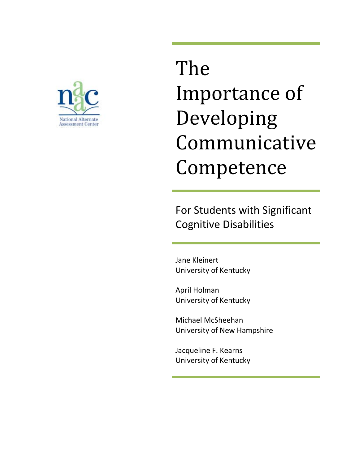

# The Importance of Developing Communicative Competence

For Students with Significant Cognitive Disabilities

Jane Kleinert University of Kentucky

April Holman University of Kentucky

Michael McSheehan University of New Hampshire

Jacqueline F. Kearns University of Kentucky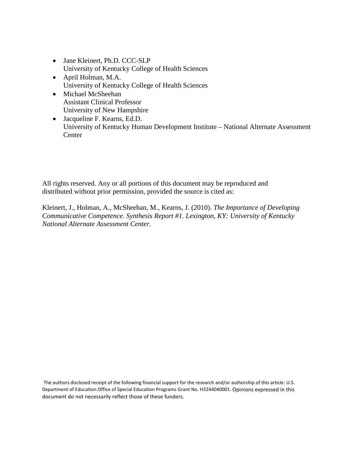- Jane Kleinert, Ph.D. CCC-SLP University of Kentucky College of Health Sciences
- April Holman, M.A. University of Kentucky College of Health Sciences
- Michael McSheehan Assistant Clinical Professor University of New Hampshire
- Jacqueline F. Kearns, Ed.D. University of Kentucky Human Development Institute – National Alternate Assessment **Center**

All rights reserved. Any or all portions of this document may be reproduced and distributed without prior permission, provided the source is cited as:

Kleinert, J., Holman, A., McSheehan, M., Kearns, J. (2010). *The Importance of Developing Communicative Competence. Synthesis Report #1. Lexington, KY: University of Kentucky National Alternate Assessment Center.* 

The authors disclosed receipt of the following financial support for the research and/or authorship of this article: U.S. Department of Education Office of Special Education Programs Grant No. H3244040001. Opinions expressed in this document do not necessarily reflect those of these funders.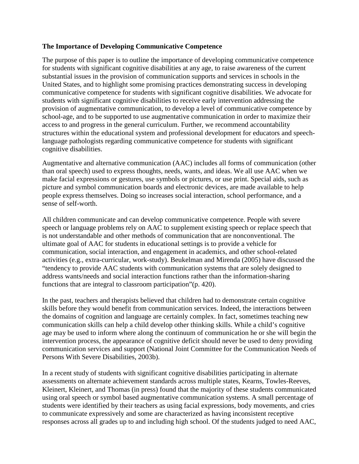#### **The Importance of Developing Communicative Competence**

The purpose of this paper is to outline the importance of developing communicative competence for students with significant cognitive disabilities at any age, to raise awareness of the current substantial issues in the provision of communication supports and services in schools in the United States, and to highlight some promising practices demonstrating success in developing communicative competence for students with significant cognitive disabilities. We advocate for students with significant cognitive disabilities to receive early intervention addressing the provision of augmentative communication, to develop a level of communicative competence by school-age, and to be supported to use augmentative communication in order to maximize their access to and progress in the general curriculum. Further, we recommend accountability structures within the educational system and professional development for educators and speechlanguage pathologists regarding communicative competence for students with significant cognitive disabilities.

Augmentative and alternative communication (AAC) includes all forms of communication (other than oral speech) used to express thoughts, needs, wants, and ideas. We all use AAC when we make facial expressions or gestures, use symbols or pictures, or use print. Special aids, such as picture and symbol communication boards and electronic devices, are made available to help people express themselves. Doing so increases social interaction, school performance, and a sense of self-worth.

All children communicate and can develop communicative competence. People with severe speech or language problems rely on AAC to supplement existing speech or replace speech that is not understandable and other methods of communication that are nonconventional. The ultimate goal of AAC for students in educational settings is to provide a vehicle for communication, social interaction, and engagement in academics, and other school-related activities (e.g., extra-curricular, work-study). Beukelman and Mirenda (2005) have discussed the "tendency to provide AAC students with communication systems that are solely designed to address wants/needs and social interaction functions rather than the information-sharing functions that are integral to classroom participation"(p. 420).

In the past, teachers and therapists believed that children had to demonstrate certain cognitive skills before they would benefit from communication services. Indeed, the interactions between the domains of cognition and language are certainly complex. In fact, sometimes teaching new communication skills can help a child develop other thinking skills. While a child's cognitive age may be used to inform where along the continuum of communication he or she will begin the intervention process, the appearance of cognitive deficit should never be used to deny providing communication services and support (National Joint Committee for the Communication Needs of Persons With Severe Disabilities, 2003b).

In a recent study of students with significant cognitive disabilities participating in alternate assessments on alternate achievement standards across multiple states, Kearns, Towles-Reeves, Kleinert, Kleinert, and Thomas (in press) found that the majority of these students communicated using oral speech or symbol based augmentative communication systems. A small percentage of students were identified by their teachers as using facial expressions, body movements, and cries to communicate expressively and some are characterized as having inconsistent receptive responses across all grades up to and including high school. Of the students judged to need AAC,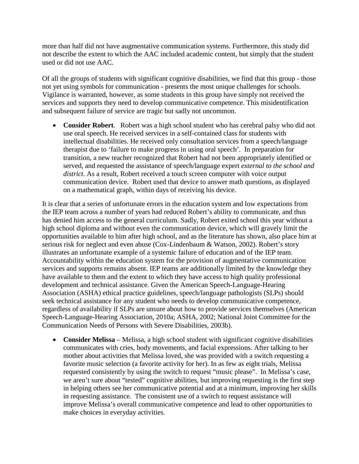more than half did not have augmentative communication systems. Furthermore, this study did not describe the extent to which the AAC included academic content, but simply that the student used or did not use AAC.

Of all the groups of students with significant cognitive disabilities, we find that this group - those not yet using symbols for communication - presents the most unique challenges for schools. Vigilance is warranted, however, as some students in this group have simply not received the services and supports they need to develop communicative competence. This misidentification and subsequent failure of service are tragic but sadly not uncommon.

• **Consider Robert**. Robert was a high school student who has cerebral palsy who did not use oral speech. He received services in a self-contained class for students with intellectual disabilities. He received only consultation services from a speech/language therapist due to 'failure to make progress in using oral speech'. In preparation for transition, a new teacher recognized that Robert had not been appropriately identified or served, and requested the assistance of speech/language expert *external to the school and district*. As a result, Robert received a touch screen computer with voice output communication device. Robert used that device to answer math questions, as displayed on a mathematical graph, within days of receiving his device.

It is clear that a series of unfortunate errors in the education system and low expectations from the IEP team across a number of years had reduced Robert's ability to communicate, and thus has denied him access to the general curriculum. Sadly, Robert exited school this year without a high school diploma and without even the communication device, which will gravely limit the opportunities available to him after high school, and as the literature has shown, also place him at serious risk for neglect and even abuse (Cox-Lindenbaum & Watson, 2002). Robert's story illustrates an unfortunate example of a systemic failure of education and of the IEP team. Accountability within the education system for the provision of augmentative communication services and supports remains absent. IEP teams are additionally limited by the knowledge they have available to them and the extent to which they have access to high quality professional development and technical assistance. Given the American Speech-Language-Hearing Association (ASHA) ethical practice guidelines, speech/language pathologists (SLPs) should seek technical assistance for any student who needs to develop communicative competence, regardless of availability if SLPs are unsure about how to provide services themselves (American Speech-Language-Hearing Association, 2010a; ASHA, 2002; National Joint Committee for the Communication Needs of Persons with Severe Disabilities, 2003b).

• **Consider Melissa** – Melissa, a high school student with significant cognitive disabilities communicates with cries, body movements, and facial expressions. After talking to her mother about activities that Melissa loved, she was provided with a switch requesting a favorite music selection (a favorite activity for her). In as few as eight trials, Melissa requested consistently by using the switch to request "music please". In Melissa's case, we aren't sure about "tested" cognitive abilities, but improving requesting is the first step in helping others see her communicative potential and at a minimum, improving her skills in requesting assistance. The consistent use of a switch to request assistance will improve Melissa's overall communicative competence and lead to other opportunities to make choices in everyday activities.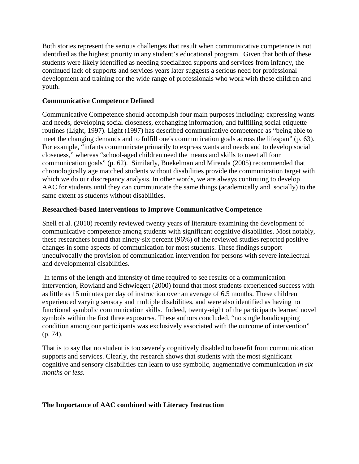Both stories represent the serious challenges that result when communicative competence is not identified as the highest priority in any student's educational program. Given that both of these students were likely identified as needing specialized supports and services from infancy, the continued lack of supports and services years later suggests a serious need for professional development and training for the wide range of professionals who work with these children and youth.

### **Communicative Competence Defined**

Communicative Competence should accomplish four main purposes including: expressing wants and needs, developing social closeness, exchanging information, and fulfilling social etiquette routines (Light, 1997). Light (1997) has described communicative competence as "being able to meet the changing demands and to fulfill one's communication goals across the lifespan" (p. 63). For example, "infants communicate primarily to express wants and needs and to develop social closeness," whereas "school-aged children need the means and skills to meet all four communication goals" (p. 62). Similarly, Buekelman and Mirenda (2005) recommended that chronologically age matched students without disabilities provide the communication target with which we do our discrepancy analysis. In other words, we are always continuing to develop AAC for students until they can communicate the same things (academically and socially) to the same extent as students without disabilities.

# **Researched-based Interventions to Improve Communicative Competence**

Snell et al. (2010) recently reviewed twenty years of literature examining the development of communicative competence among students with significant cognitive disabilities. Most notably, these researchers found that ninety-six percent (96%) of the reviewed studies reported positive changes in some aspects of communication for most students. These findings support unequivocally the provision of communication intervention for persons with severe intellectual and developmental disabilities.

In terms of the length and intensity of time required to see results of a communication intervention, Rowland and Schwiegert (2000) found that most students experienced success with as little as 15 minutes per day of instruction over an average of 6.5 months. These children experienced varying sensory and multiple disabilities, and were also identified as having no functional symbolic communication skills. Indeed, twenty-eight of the participants learned novel symbols within the first three exposures. These authors concluded, "no single handicapping condition among our participants was exclusively associated with the outcome of intervention" (p. 74).

That is to say that no student is too severely cognitively disabled to benefit from communication supports and services. Clearly, the research shows that students with the most significant cognitive and sensory disabilities can learn to use symbolic, augmentative communication *in six months or less*.

### **The Importance of AAC combined with Literacy Instruction**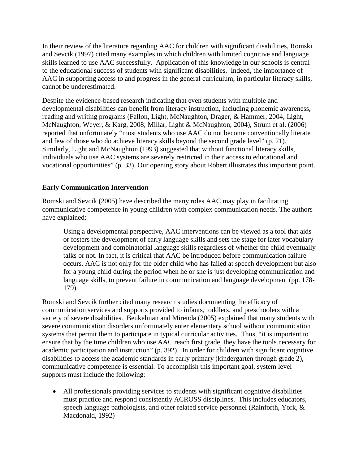In their review of the literature regarding AAC for children with significant disabilities, Romski and Sevcik (1997) cited many examples in which children with limited cognitive and language skills learned to use AAC successfully. Application of this knowledge in our schools is central to the educational success of students with significant disabilities. Indeed, the importance of AAC in supporting access to and progress in the general curriculum, in particular literacy skills, cannot be underestimated.

Despite the evidence-based research indicating that even students with multiple and developmental disabilities can benefit from literacy instruction, including phonemic awareness, reading and writing programs (Fallon, Light, McNaughton, Drager, & Hammer, 2004; Light, McNaughton, Weyer, & Karg, 2008; Millar, Light & McNaughton, 2004), Strum et al. (2006) reported that unfortunately "most students who use AAC do not become conventionally literate and few of those who do achieve literacy skills beyond the second grade level" (p. 21). Similarly, Light and McNaughton (1993) suggested that without functional literacy skills, individuals who use AAC systems are severely restricted in their access to educational and vocational opportunities" (p. 33). Our opening story about Robert illustrates this important point.

### **Early Communication Intervention**

Romski and Sevcik (2005) have described the many roles AAC may play in facilitating communicative competence in young children with complex communication needs. The authors have explained:

Using a developmental perspective, AAC interventions can be viewed as a tool that aids or fosters the development of early language skills and sets the stage for later vocabulary development and combinatorial language skills regardless of whether the child eventually talks or not. In fact, it is critical that AAC be introduced before communication failure occurs. AAC is not only for the older child who has failed at speech development but also for a young child during the period when he or she is just developing communication and language skills, to prevent failure in communication and language development (pp. 178- 179).

Romski and Sevcik further cited many research studies documenting the efficacy of communication services and supports provided to infants, toddlers, and preschoolers with a variety of severe disabilities. Beukelman and Mirenda (2005) explained that many students with severe communication disorders unfortunately enter elementary school without communication systems that permit them to participate in typical curricular activities. Thus, "it is important to ensure that by the time children who use AAC reach first grade, they have the tools necessary for academic participation and instruction" (p. 392). In order for children with significant cognitive disabilities to access the academic standards in early primary (kindergarten through grade 2), communicative competence is essential. To accomplish this important goal, system level supports must include the following:

• All professionals providing services to students with significant cognitive disabilities must practice and respond consistently ACROSS disciplines. This includes educators, speech language pathologists, and other related service personnel (Rainforth, York, & Macdonald, 1992)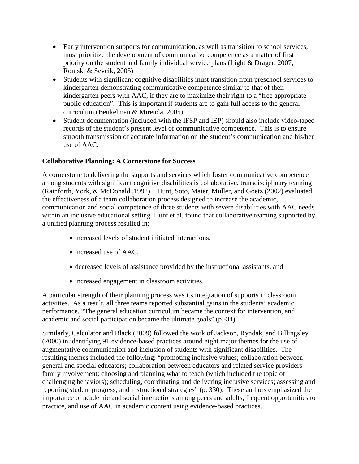- Early intervention supports for communication, as well as transition to school services, must prioritize the development of communicative competence as a matter of first priority on the student and family individual service plans (Light & Drager, 2007; Romski & Sevcik, 2005)
- Students with significant cognitive disabilities must transition from preschool services to kindergarten demonstrating communicative competence similar to that of their kindergarten peers with AAC, if they are to maximize their right to a "free appropriate public education". This is important if students are to gain full access to the general curriculum (Beukelman & Mirenda, 2005).
- Student documentation (included with the IFSP and IEP) should also include video-taped records of the student's present level of communicative competence. This is to ensure smooth transmission of accurate information on the student's communication and his/her use of AAC.

# **Collaborative Planning: A Cornerstone for Success**

A cornerstone to delivering the supports and services which foster communicative competence among students with significant cognitive disabilities is collaborative, transdisciplinary teaming (Rainforth, York, & McDonald ,1992). Hunt, Soto, Maier, Muller, and Goetz (2002) evaluated the effectiveness of a team collaboration process designed to increase the academic, communication and social competence of three students with severe disabilities with AAC needs within an inclusive educational setting. Hunt et al. found that collaborative teaming supported by a unified planning process resulted in:

- increased levels of student initiated interactions,
- increased use of AAC.
- decreased levels of assistance provided by the instructional assistants, and
- increased engagement in classroom activities.

A particular strength of their planning process was its integration of supports in classroom activities. As a result, all three teams reported substantial gains in the students' academic performance. "The general education curriculum became the context for intervention, and academic and social participation became the ultimate goals" (p.-34).

Similarly, Calculator and Black (2009) followed the work of Jackson, Ryndak, and Billingsley (2000) in identifying 91 evidence-based practices around eight major themes for the use of augmentative communication and inclusion of students with significant disabilities. The resulting themes included the following: "promoting inclusive values; collaboration between general and special educators; collaboration between educators and related service providers family involvement; choosing and planning what to teach (which included the topic of challenging behaviors); scheduling, coordinating and delivering inclusive services; assessing and reporting student progress; and instructional strategies" (p. 330). These authors emphasized the importance of academic and social interactions among peers and adults, frequent opportunities to practice, and use of AAC in academic content using evidence-based practices.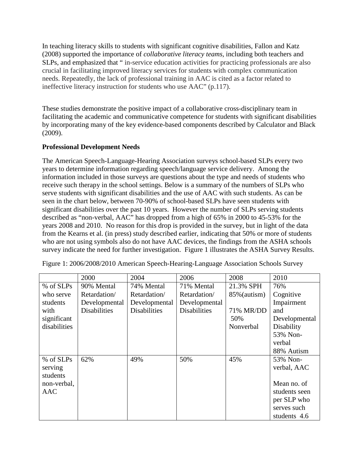In teaching literacy skills to students with significant cognitive disabilities, Fallon and Katz (2008) supported the importance of *collaborative literacy teams,* including both teachers and SLPs, and emphasized that " in-service education activities for practicing professionals are also crucial in facilitating improved literacy services for students with complex communication needs. Repeatedly, the lack of professional training in AAC is cited as a factor related to ineffective literacy instruction for students who use AAC" (p.117).

These studies demonstrate the positive impact of a collaborative cross-disciplinary team in facilitating the academic and communicative competence for students with significant disabilities by incorporating many of the key evidence-based components described by Calculator and Black (2009).

# **Professional Development Needs**

The American Speech-Language-Hearing Association surveys school-based SLPs every two years to determine information regarding speech/language service delivery. Among the information included in those surveys are questions about the type and needs of students who receive such therapy in the school settings. Below is a summary of the numbers of SLPs who serve students with significant disabilities and the use of AAC with such students. As can be seen in the chart below, between 70-90% of school-based SLPs have seen students with significant disabilities over the past 10 years. However the number of SLPs serving students described as "non-verbal, AAC" has dropped from a high of 65% in 2000 to 45-53% for the years 2008 and 2010. No reason for this drop is provided in the survey, but in light of the data from the Kearns et al. (in press) study described earlier, indicating that 50% or more of students who are not using symbols also do not have AAC devices, the findings from the ASHA schools survey indicate the need for further investigation. Figure 1 illustrates the ASHA Survey Results.

|              | 2000                | 2004                | 2006                | 2008            | 2010          |
|--------------|---------------------|---------------------|---------------------|-----------------|---------------|
| % of SLPs    | 90% Mental          | 74% Mental          | 71% Mental          | 21.3% SPH       | 76%           |
| who serve    | Retardation/        | Retardation/        | Retardation/        | $85\%$ (autism) | Cognitive     |
| students     | Developmental       | Developmental       | Developmental       |                 | Impairment    |
| with         | <b>Disabilities</b> | <b>Disabilities</b> | <b>Disabilities</b> | 71% MR/DD       | and           |
| significant  |                     |                     |                     | 50%             | Developmental |
| disabilities |                     |                     |                     | Nonverbal       | Disability    |
|              |                     |                     |                     |                 | 53% Non-      |
|              |                     |                     |                     |                 | verbal        |
|              |                     |                     |                     |                 | 88% Autism    |
| % of SLPs    | 62%                 | 49%                 | 50%                 | 45%             | 53% Non-      |
| serving      |                     |                     |                     |                 | verbal, AAC   |
| students     |                     |                     |                     |                 |               |
| non-verbal,  |                     |                     |                     |                 | Mean no. of   |
| AAC          |                     |                     |                     |                 | students seen |
|              |                     |                     |                     |                 | per SLP who   |
|              |                     |                     |                     |                 | serves such   |
|              |                     |                     |                     |                 | students 4.6  |

Figure 1: 2006/2008/2010 American Speech-Hearing-Language Association Schools Survey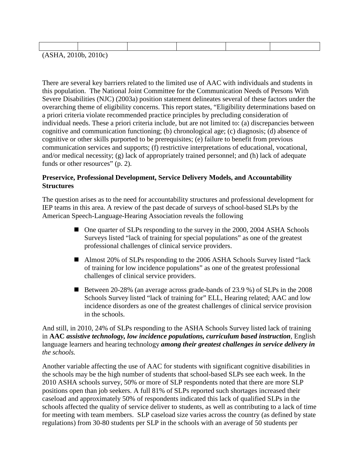| (ASHA, 2010b, 2010c) |  |  |  |
|----------------------|--|--|--|

There are several key barriers related to the limited use of AAC with individuals and students in this population. The National Joint Committee for the Communication Needs of Persons With Severe Disabilities (NJC) (2003a) position statement delineates several of these factors under the overarching theme of eligibility concerns. This report states, "Eligibility determinations based on a priori criteria violate recommended practice principles by precluding consideration of individual needs. These a priori criteria include, but are not limited to: (a) discrepancies between cognitive and communication functioning; (b) chronological age; (c) diagnosis; (d) absence of cognitive or other skills purported to be prerequisites; (e) failure to benefit from previous communication services and supports; (f) restrictive interpretations of educational, vocational, and/or medical necessity; (g) lack of appropriately trained personnel; and (h) lack of adequate funds or other resources" (p. 2).

#### **Preservice, Professional Development, Service Delivery Models, and Accountability Structures**

The question arises as to the need for accountability structures and professional development for IEP teams in this area. A review of the past decade of surveys of school-based SLPs by the American Speech-Language-Hearing Association reveals the following

- One quarter of SLPs responding to the survey in the 2000, 2004 ASHA Schools Surveys listed "lack of training for special populations" as one of the greatest professional challenges of clinical service providers.
- Almost 20% of SLPs responding to the 2006 ASHA Schools Survey listed "lack" of training for low incidence populations" as one of the greatest professional challenges of clinical service providers.
- Between 20-28% (an average across grade-bands of 23.9 %) of SLPs in the 2008 Schools Survey listed "lack of training for" ELL, Hearing related; AAC and low incidence disorders as one of the greatest challenges of clinical service provision in the schools.

And still, in 2010, 24% of SLPs responding to the ASHA Schools Survey listed lack of training in **AAC** *assistive technology, low incidence populations, curriculum based instruction,* English language learners and hearing technology *among their greatest challenges in service delivery in the schools.*

Another variable affecting the use of AAC for students with significant cognitive disabilities in the schools may be the high number of students that school-based SLPs see each week. In the 2010 ASHA schools survey, 50% or more of SLP respondents noted that there are more SLP positions open than job seekers. A full 81% of SLPs reported such shortages increased their caseload and approximately 50% of respondents indicated this lack of qualified SLPs in the schools affected the quality of service deliver to students, as well as contributing to a lack of time for meeting with team members. SLP caseload size varies across the country (as defined by state regulations) from 30-80 students per SLP in the schools with an average of 50 students per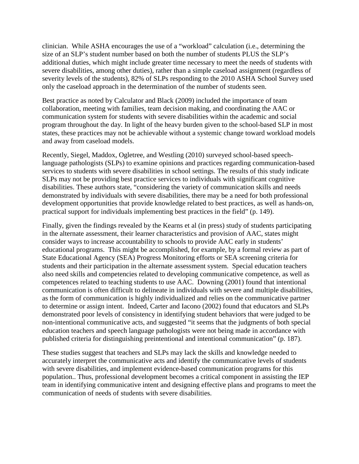clinician. While ASHA encourages the use of a "workload" calculation (i.e., determining the size of an SLP's student number based on both the number of students PLUS the SLP's additional duties, which might include greater time necessary to meet the needs of students with severe disabilities, among other duties), rather than a simple caseload assignment (regardless of severity levels of the students), 82% of SLPs responding to the 2010 ASHA School Survey used only the caseload approach in the determination of the number of students seen.

Best practice as noted by Calculator and Black (2009) included the importance of team collaboration, meeting with families, team decision making, and coordinating the AAC or communication system for students with severe disabilities within the academic and social program throughout the day. In light of the heavy burden given to the school-based SLP in most states, these practices may not be achievable without a systemic change toward workload models and away from caseload models.

Recently, Siegel, Maddox, Ogletree, and Westling (2010) surveyed school-based speechlanguage pathologists (SLPs) to examine opinions and practices regarding communication-based services to students with severe disabilities in school settings. The results of this study indicate SLPs may not be providing best practice services to individuals with significant cognitive disabilities. These authors state, "considering the variety of communication skills and needs demonstrated by individuals with severe disabilities, there may be a need for both professional development opportunities that provide knowledge related to best practices, as well as hands-on, practical support for individuals implementing best practices in the field" (p. 149).

Finally, given the findings revealed by the Kearns et al (in press) study of students participating in the alternate assessment, their learner characteristics and provision of AAC, states might consider ways to increase accountability to schools to provide AAC early in students' educational programs. This might be accomplished, for example, by a formal review as part of State Educational Agency (SEA) Progress Monitoring efforts or SEA screening criteria for students and their participation in the alternate assessment system. Special education teachers also need skills and competencies related to developing communicative competence, as well as competences related to teaching students to use AAC. Downing (2001) found that intentional communication is often difficult to delineate in individuals with severe and multiple disabilities, as the form of communication is highly individualized and relies on the communicative partner to determine or assign intent. Indeed, Carter and Iacono (2002) found that educators and SLPs demonstrated poor levels of consistency in identifying student behaviors that were judged to be non-intentional communicative acts, and suggested "it seems that the judgments of both special education teachers and speech language pathologists were not being made in accordance with published criteria for distinguishing preintentional and intentional communication" (p. 187).

These studies suggest that teachers and SLPs may lack the skills and knowledge needed to accurately interpret the communicative acts and identify the communicative levels of students with severe disabilities, and implement evidence-based communication programs for this population.. Thus, professional development becomes a critical component in assisting the IEP team in identifying communicative intent and designing effective plans and programs to meet the communication of needs of students with severe disabilities.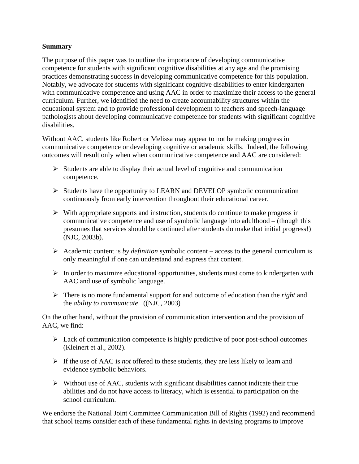#### **Summary**

The purpose of this paper was to outline the importance of developing communicative competence for students with significant cognitive disabilities at any age and the promising practices demonstrating success in developing communicative competence for this population. Notably, we advocate for students with significant cognitive disabilities to enter kindergarten with communicative competence and using AAC in order to maximize their access to the general curriculum. Further, we identified the need to create accountability structures within the educational system and to provide professional development to teachers and speech-language pathologists about developing communicative competence for students with significant cognitive disabilities.

Without AAC, students like Robert or Melissa may appear to not be making progress in communicative competence or developing cognitive or academic skills. Indeed, the following outcomes will result only when when communicative competence and AAC are considered:

- $\triangleright$  Students are able to display their actual level of cognitive and communication competence.
- $\triangleright$  Students have the opportunity to LEARN and DEVELOP symbolic communication continuously from early intervention throughout their educational career.
- $\triangleright$  With appropriate supports and instruction, students do continue to make progress in communicative competence and use of symbolic language into adulthood – (though this presumes that services should be continued after students do make that initial progress!) (NJC, 2003b).
- Academic content is *by definition* symbolic content access to the general curriculum is only meaningful if one can understand and express that content.
- $\triangleright$  In order to maximize educational opportunities, students must come to kindergarten with AAC and use of symbolic language.
- There is no more fundamental support for and outcome of education than the *right* and the *ability to communicate*. ((NJC, 2003)

On the other hand, without the provision of communication intervention and the provision of AAC, we find:

- $\triangleright$  Lack of communication competence is highly predictive of poor post-school outcomes (Kleinert et al., 2002).
- $\triangleright$  If the use of AAC is *not* offered to these students, they are less likely to learn and evidence symbolic behaviors.
- $\triangleright$  Without use of AAC, students with significant disabilities cannot indicate their true abilities and do not have access to literacy, which is essential to participation on the school curriculum.

We endorse the National Joint Committee Communication Bill of Rights (1992) and recommend that school teams consider each of these fundamental rights in devising programs to improve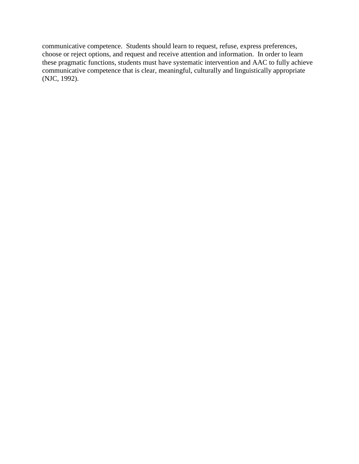communicative competence. Students should learn to request, refuse, express preferences, choose or reject options, and request and receive attention and information. In order to learn these pragmatic functions, students must have systematic intervention and AAC to fully achieve communicative competence that is clear, meaningful, culturally and linguistically appropriate (NJC, 1992).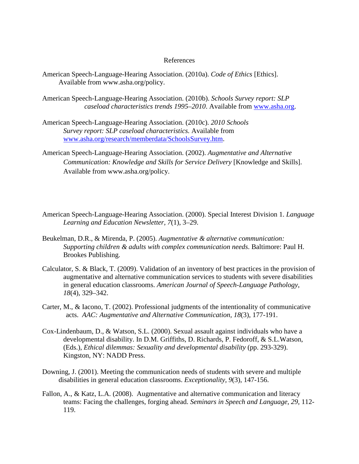#### References

- American Speech-Language-Hearing Association. (2010a). *Code of Ethics* [Ethics]. Available from www.asha.org/policy.
- American Speech-Language-Hearing Association. (2010b). *Schools Survey report: SLP caseload characteristics trends 1995–2010*. Available from [www.asha.org.](http://www.asha.org/)
- American Speech-Language-Hearing Association. (2010c). *2010 Schools Survey report: SLP caseload characteristics.* Available from [www.asha.org/research/memberdata/SchoolsSurvey.htm.](http://www.asha.org/research/memberdata/SchoolsSurvey.htm)
- American Speech-Language-Hearing Association. (2002). *Augmentative and Alternative Communication: Knowledge and Skills for Service Delivery* [Knowledge and Skills]. Available from www.asha.org/policy.
- American Speech-Language-Hearing Association. (2000). Special Interest Division 1. *Language Learning and Education Newsletter, 7*(1), 3–29.
- Beukelman, D.R., & Mirenda, P. (2005). *Augmentative & alternative communication: Supporting children & adults with complex communication needs*. Baltimore: Paul H. Brookes Publishing.
- Calculator, S. & Black, T. (2009). Validation of an inventory of best practices in the provision of augmentative and alternative communication services to students with severe disabilities in general education classrooms. *American Journal of Speech-Language Pathology*, *18*(4)*,* 329–342.
- Carter, M., & Iacono, T. (2002). Professional judgments of the intentionality of communicative acts. *AAC: Augmentative and Alternative Communication, 18*(3), 177-191.
- Cox-Lindenbaum, D., & Watson, S.L. (2000). Sexual assault against individuals who have a developmental disability. In D.M. Griffiths, D. Richards, P. Fedoroff, & S.L.Watson, (Eds.), *Ethical dilemmas: Sexuality and developmental disability* (pp. 293-329). Kingston, NY: NADD Press.
- Downing, J. (2001). Meeting the communication needs of students with severe and multiple disabilities in general education classrooms. *Exceptionality, 9*(3), 147-156.
- Fallon, A., & Katz, L.A. (2008). Augmentative and alternative communication and literacy teams: Facing the challenges, forging ahead. *Seminars in Speech and Language, 29,* 112- 119.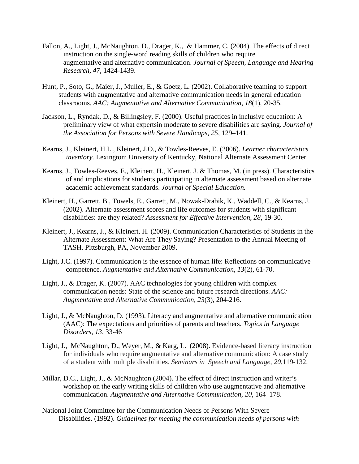- Fallon, A., Light, J., McNaughton, D., Drager, K., & Hammer, C. (2004). The effects of direct instruction on the single-word reading skills of children who require augmentative and alternative communication. *Journal of Speech, Language and Hearing Research, 47,* 1424-1439.
- Hunt, P., Soto, G., Maier, J., Muller, E., & Goetz, L. (2002). Collaborative teaming to support students with augmentative and alternative communication needs in general education classrooms. *AAC: Augmentative and Alternative Communication, 18*(1), 20-35.
- Jackson, L., Ryndak, D., & Billingsley, F. (2000). Useful practices in inclusive education: A preliminary view of what expertsin moderate to severe disabilities are saying. *Journal of the Association for Persons with Severe Handicaps, 25,* 129–141.
- Kearns, J., Kleinert, H.L., Kleinert, J.O., & Towles-Reeves, E. (2006). *Learner characteristics inventory.* Lexington: University of Kentucky, National Alternate Assessment Center.
- Kearns, J., Towles-Reeves, E., Kleinert, H., Kleinert, J. & Thomas, M. (in press). Characteristics of and implications for students participating in alternate assessment based on alternate academic achievement standards. *Journal of Special Education.*
- Kleinert, H., Garrett, B., Towels, E., Garrett, M., Nowak-Drabik, K., Waddell, C., & Kearns, J. (2002). Alternate assessment scores and life outcomes for students with significant disabilities: are they related? *Assessment for Effective Intervention, 28*, 19-30.
- Kleinert, J., Kearns, J., & Kleinert, H. (2009). Communication Characteristics of Students in the Alternate Assessment: What Are They Saying? Presentation to the Annual Meeting of TASH. Pittsburgh, PA, November 2009.
- Light, J.C. (1997). Communication is the essence of human life: Reflections on communicative competence. *Augmentative and Alternative Communication, 13*(2), 61-70.
- Light, J., & Drager, K. (2007). AAC technologies for young children with complex communication needs: State of the science and future research directions. *AAC: Augmentative and Alternative Communication, 23*(3), 204-216.
- Light, J., & McNaughton, D. (1993). Literacy and augmentative and alternative communication (AAC): The expectations and priorities of parents and teachers. *Topics in Language Disorders, 13,* 33-46
- Light, J., McNaughton, D., Weyer, M., & Karg, L. (2008). Evidence-based literacy instruction for individuals who require augmentative and alternative communication: A case study of a student with multiple disabilities. *Seminars in Speech and Language, 20,*119-132.
- Millar, D.C., Light, J., & McNaughton (2004). The effect of direct instruction and writer's workshop on the early writing skills of children who use augmentative and alternative communication. *Augmentative and Alternative Communication, 20*, 164–178.
- National Joint Committee for the Communication Needs of Persons With Severe Disabilities. (1992). *Guidelines for meeting the communication needs of persons with*